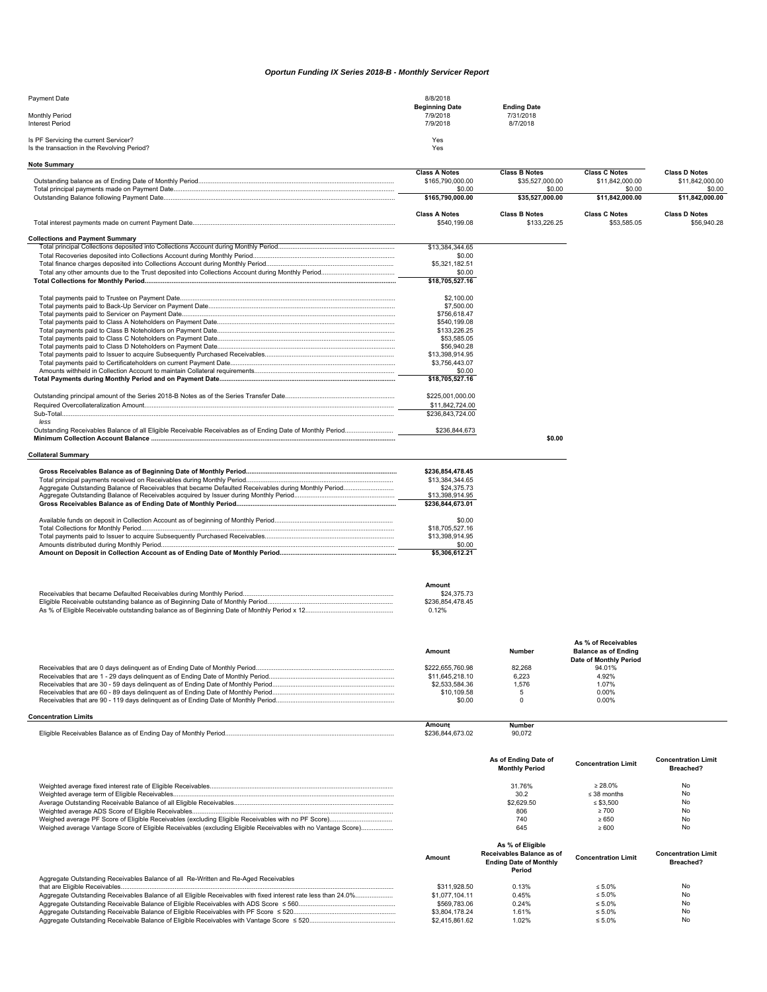## *Oportun Funding IX Series 2018-B - Monthly Servicer Report*

| Payment Date                                | 8/8/2018              |                    |  |
|---------------------------------------------|-----------------------|--------------------|--|
|                                             | <b>Beginning Date</b> | <b>Ending Date</b> |  |
| <b>Monthly Period</b>                       | 7/9/2018              | 7/31/2018          |  |
| <b>Interest Period</b>                      | 7/9/2018              | 8/7/2018           |  |
|                                             |                       |                    |  |
| Is PF Servicing the current Servicer?       | Yes                   |                    |  |
| Is the transaction in the Revolving Period? | Yes                   |                    |  |

| <b>Note Summary</b>                                                                                          |                                     |                           |                             |                            |
|--------------------------------------------------------------------------------------------------------------|-------------------------------------|---------------------------|-----------------------------|----------------------------|
|                                                                                                              | <b>Class A Notes</b>                | <b>Class B Notes</b>      | <b>Class C Notes</b>        | <b>Class D Notes</b>       |
|                                                                                                              | \$165,790,000.00                    | \$35,527,000.00           | \$11,842,000.00             | \$11.842.000.00            |
|                                                                                                              | \$0.00<br>\$165,790,000.00          | \$0.00<br>\$35,527,000.00 | \$0.00<br>\$11,842,000.00   | \$0.00<br>\$11,842,000.00  |
|                                                                                                              |                                     |                           |                             |                            |
|                                                                                                              | <b>Class A Notes</b>                | <b>Class B Notes</b>      | <b>Class C Notes</b>        | <b>Class D Notes</b>       |
|                                                                                                              | \$540,199.08                        | \$133,226.25              | \$53,585.05                 | \$56,940.28                |
| <b>Collections and Payment Summary</b>                                                                       |                                     |                           |                             |                            |
|                                                                                                              | \$13,384,344.65                     |                           |                             |                            |
|                                                                                                              | \$0.00                              |                           |                             |                            |
|                                                                                                              | \$5,321,182.51                      |                           |                             |                            |
|                                                                                                              | \$0.00                              |                           |                             |                            |
|                                                                                                              | \$18,705,527.16                     |                           |                             |                            |
|                                                                                                              |                                     |                           |                             |                            |
|                                                                                                              | \$2,100.00                          |                           |                             |                            |
|                                                                                                              | \$7,500.00                          |                           |                             |                            |
|                                                                                                              | \$756,618.47<br>\$540,199.08        |                           |                             |                            |
|                                                                                                              | \$133,226.25                        |                           |                             |                            |
|                                                                                                              |                                     |                           |                             |                            |
|                                                                                                              | \$53,585.05                         |                           |                             |                            |
|                                                                                                              | \$56,940.28                         |                           |                             |                            |
|                                                                                                              | \$13,398,914.95                     |                           |                             |                            |
|                                                                                                              | \$3,756,443.07                      |                           |                             |                            |
|                                                                                                              | \$0.00                              |                           |                             |                            |
|                                                                                                              | \$18,705,527.16                     |                           |                             |                            |
|                                                                                                              | \$225,001,000.00                    |                           |                             |                            |
|                                                                                                              |                                     |                           |                             |                            |
|                                                                                                              | \$11,842,724.00<br>\$236,843,724.00 |                           |                             |                            |
|                                                                                                              |                                     |                           |                             |                            |
| Outstanding Receivables Balance of all Eligible Receivable Receivables as of Ending Date of Monthly Period   | \$236,844,673                       |                           |                             |                            |
|                                                                                                              |                                     | \$0.00                    |                             |                            |
|                                                                                                              |                                     |                           |                             |                            |
| <b>Collateral Summary</b>                                                                                    |                                     |                           |                             |                            |
|                                                                                                              |                                     |                           |                             |                            |
|                                                                                                              | \$236,854,478.45                    |                           |                             |                            |
|                                                                                                              | \$13,384,344.65                     |                           |                             |                            |
|                                                                                                              | \$24,375.73                         |                           |                             |                            |
|                                                                                                              | \$13,398,914.95                     |                           |                             |                            |
|                                                                                                              | \$236,844,673.01                    |                           |                             |                            |
|                                                                                                              | \$0.00                              |                           |                             |                            |
|                                                                                                              | \$18,705,527.16                     |                           |                             |                            |
|                                                                                                              | \$13,398,914.95                     |                           |                             |                            |
|                                                                                                              | \$0.00                              |                           |                             |                            |
|                                                                                                              | \$5,306,612.21                      |                           |                             |                            |
|                                                                                                              |                                     |                           |                             |                            |
|                                                                                                              |                                     |                           |                             |                            |
|                                                                                                              |                                     |                           |                             |                            |
|                                                                                                              | Amount                              |                           |                             |                            |
|                                                                                                              | \$24,375.73                         |                           |                             |                            |
|                                                                                                              | \$236,854,478.45                    |                           |                             |                            |
|                                                                                                              | 0.12%                               |                           |                             |                            |
|                                                                                                              |                                     |                           |                             |                            |
|                                                                                                              |                                     |                           |                             |                            |
|                                                                                                              |                                     |                           | As % of Receivables         |                            |
|                                                                                                              | <b>Amount</b>                       | <b>Number</b>             | <b>Balance as of Ending</b> |                            |
|                                                                                                              |                                     |                           | Date of Monthly Period      |                            |
|                                                                                                              | \$222,655,760.98                    | 82,268                    | 94.01%                      |                            |
|                                                                                                              | \$11,645,218.10                     | 6,223                     | 4.92%                       |                            |
|                                                                                                              | \$2,533,584.36                      | 1,576                     | 1.07%                       |                            |
|                                                                                                              | \$10,109.58                         | 5<br>$\mathbf 0$          | 0.00%                       |                            |
|                                                                                                              | \$0.00                              |                           | 0.00%                       |                            |
| <b>Concentration Limits</b>                                                                                  |                                     |                           |                             |                            |
|                                                                                                              | Amount                              | Number                    |                             |                            |
|                                                                                                              | \$236,844,673.02                    | 90,072                    |                             |                            |
|                                                                                                              |                                     |                           |                             |                            |
|                                                                                                              |                                     | As of Ending Date of      |                             | <b>Concentration Limit</b> |
|                                                                                                              |                                     | <b>Monthly Period</b>     | <b>Concentration Limit</b>  | Breached?                  |
|                                                                                                              |                                     |                           | $\geq 28.0\%$               | No                         |
|                                                                                                              |                                     | 31.76%<br>30.2            | $\leq$ 38 months            | No                         |
|                                                                                                              |                                     |                           |                             |                            |
|                                                                                                              |                                     | \$2,629.50                | $\leq$ \$3,500              | No                         |
|                                                                                                              |                                     | 806                       | $\geq 700$                  | No                         |
|                                                                                                              |                                     | 740                       | $\geq 650$                  | No                         |
| Weighed average Vantage Score of Eligible Receivables (excluding Eligible Receivables with no Vantage Score) |                                     | 645                       | $\geq 600$                  | No                         |

|                                                                                     | Amount         | As % of Eligible<br>Receivables Balance as of<br><b>Ending Date of Monthly</b><br>Period | <b>Concentration Limit</b> | <b>Concentration Limit</b><br>Breached? |
|-------------------------------------------------------------------------------------|----------------|------------------------------------------------------------------------------------------|----------------------------|-----------------------------------------|
| Aggregate Outstanding Receivables Balance of all Re-Written and Re-Aged Receivables |                |                                                                                          |                            |                                         |
|                                                                                     | \$311,928.50   | 0.13%                                                                                    | $< 5.0\%$                  | No                                      |
|                                                                                     | \$1,077,104,11 | 0.45%                                                                                    | $\leq 5.0\%$               | No                                      |
|                                                                                     | \$569,783.06   | 0.24%                                                                                    | $\leq 5.0\%$               | No                                      |
|                                                                                     | \$3.804.178.24 | 1.61%                                                                                    | $\leq 5.0\%$               | No                                      |
|                                                                                     | \$2,415,861.62 | 1.02%                                                                                    | $\leq 5.0\%$               | No                                      |